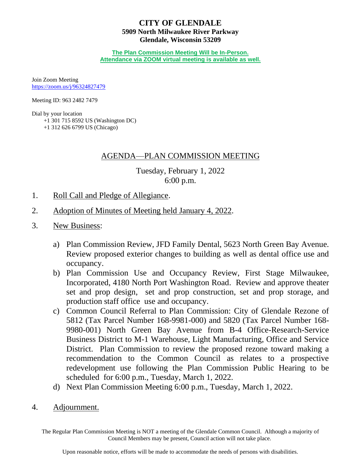# **CITY OF GLENDALE 5909 North Milwaukee River Parkway Glendale, Wisconsin 53209**

**The Plan Commission Meeting Will be In-Person. Attendance via ZOOM virtual meeting is available as well.**

Join Zoom Meeting <https://zoom.us/j/96324827479>

Meeting ID: 963 2482 7479

Dial by your location

 +1 301 715 8592 US (Washington DC) +1 312 626 6799 US (Chicago)

# AGENDA—PLAN COMMISSION MEETING

Tuesday, February 1, 2022 6:00 p.m.

- 1. Roll Call and Pledge of Allegiance.
- 2. [Adoption of Minutes of Meeting held January](#page-1-0) 4, 2022.
- 3. New Business:
	- a) [Plan Commission Review, JFD Family Dental, 5623 North Green Bay Avenue.](#page-5-0)  Review proposed exterior changes to building as well as dental office use and occupancy.
	- b) Plan Commission Use and Occupancy Review, First Stage Milwaukee, Incorporated, 4180 North Port Washington Road. Review and approve theater set [and prop design, set and prop construction, set and prop storage, and](#page-6-0)  production staff office use and occupancy.
	- c) Common Council Referral to Plan Commission: City of Glendale Rezone of 5812 (Tax Parcel Number 168-9981-000) and 5820 (Tax Parcel Number 168- 9980-001) North Green Bay Avenue from B-4 Office-Research-Service Business District to M-1 Warehouse, Light Manufacturing, Office and Service [District. Plan Commission to review the proposed rezone toward making a](#page-8-0)  recommendation to the Common Council as relates to a prospective redevelopment use following the Plan Commission Public Hearing to be scheduled for 6:00 p.m., Tuesday, March 1, 2022.
	- d) Next Plan Commission Meeting 6:00 p.m., Tuesday, March 1, 2022.
- 4. Adjournment.

The Regular Plan Commission Meeting is NOT a meeting of the Glendale Common Council. Although a majority of Council Members may be present, Council action will not take place.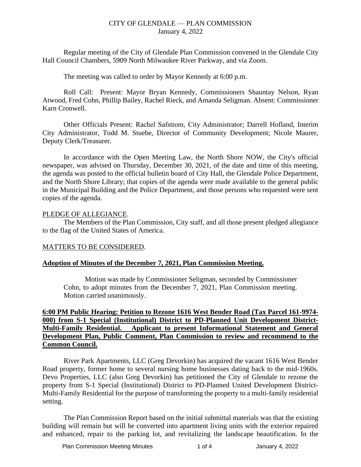<span id="page-1-0"></span>Regular meeting of the City of Glendale Plan Commission convened in the Glendale City Hall Council Chambers, 5909 North Milwaukee River Parkway, and via Zoom.

The meeting was called to order by Mayor Kennedy at 6:00 p.m.

Roll Call: Present: Mayor Bryan Kennedy, Commissioners Shauntay Nelson, Ryan Atwood, Fred Cohn, Phillip Bailey, Rachel Rieck, and Amanda Seligman. Absent: Commissioner Karn Cronwell.

Other Officials Present: Rachel Safstrom, City Administrator; Darrell Hofland, Interim City Administrator, Todd M. Stuebe, Director of Community Development; Nicole Maurer, Deputy Clerk/Treasurer.

In accordance with the Open Meeting Law, the North Shore NOW, the City's official newspaper, was advised on Thursday, December 30, 2021, of the date and time of this meeting, the agenda was posted to the official bulletin board of City Hall, the Glendale Police Department, and the North Shore Library; that copies of the agenda were made available to the general public in the Municipal Building and the Police Department, and those persons who requested were sent copies of the agenda.

#### PLEDGE OF ALLEGIANCE.

The Members of the Plan Commission, City staff, and all those present pledged allegiance to the flag of the United States of America.

# MATTERS TO BE CONSIDERED.

# **Adoption of Minutes of the December 7, 2021, Plan Commission Meeting.**

Motion was made by Commissioner Seligman, seconded by Commissioner Cohn, to adopt minutes from the December 7, 2021, Plan Commission meeting. Motion carried unanimously.

# **6:00 PM Public Hearing: Petition to Rezone 1616 West Bender Road (Tax Parcel 161-9974- 000) from S-1 Special (Institutional) District to PD-Planned Unit Development District-Multi-Family Residential. Applicant to present Informational Statement and General Development Plan, Public Comment, Plan Commission to review and recommend to the Common Council.**

River Park Apartments, LLC (Greg Devorkin) has acquired the vacant 1616 West Bender Road property, former home to several nursing home businesses dating back to the mid-1960s. Devo Properties, LLC (also Greg Devorkin) has petitioned the City of Glendale to rezone the property from S-1 Special (Institutional) District to PD-Planned United Development District-Multi-Family Residential for the purpose of transforming the property to a multi-family residential setting.

The Plan Commission Report based on the initial submittal materials was that the existing building will remain but will be converted into apartment living units with the exterior repaired and enhanced, repair to the parking lot, and revitalizing the landscape beautification. In the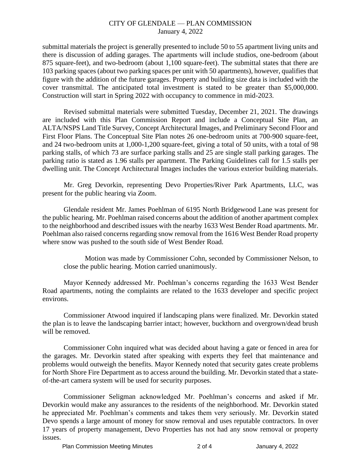submittal materials the project is generally presented to include 50 to 55 apartment living units and there is discussion of adding garages. The apartments will include studios, one-bedroom (about 875 square-feet), and two-bedroom (about 1,100 square-feet). The submittal states that there are 103 parking spaces (about two parking spaces per unit with 50 apartments), however, qualifies that figure with the addition of the future garages. Property and building size data is included with the cover transmittal. The anticipated total investment is stated to be greater than \$5,000,000. Construction will start in Spring 2022 with occupancy to commence in mid-2023.

Revised submittal materials were submitted Tuesday, December 21, 2021. The drawings are included with this Plan Commission Report and include a Conceptual Site Plan, an ALTA/NSPS Land Title Survey, Concept Architectural Images, and Preliminary Second Floor and First Floor Plans. The Conceptual Site Plan notes 26 one-bedroom units at 700-900 square-feet, and 24 two-bedroom units at 1,000-1,200 square-feet, giving a total of 50 units, with a total of 98 parking stalls, of which 73 are surface parking stalls and 25 are single stall parking garages. The parking ratio is stated as 1.96 stalls per apartment. The Parking Guidelines call for 1.5 stalls per dwelling unit. The Concept Architectural Images includes the various exterior building materials.

Mr. Greg Devorkin, representing Devo Properties/River Park Apartments, LLC, was present for the public hearing via Zoom.

Glendale resident Mr. James Poehlman of 6195 North Bridgewood Lane was present for the public hearing. Mr. Poehlman raised concerns about the addition of another apartment complex to the neighborhood and described issues with the nearby 1633 West Bender Road apartments. Mr. Poehlman also raised concerns regarding snow removal from the 1616 West Bender Road property where snow was pushed to the south side of West Bender Road.

Motion was made by Commissioner Cohn, seconded by Commissioner Nelson, to close the public hearing. Motion carried unanimously.

Mayor Kennedy addressed Mr. Poehlman's concerns regarding the 1633 West Bender Road apartments, noting the complaints are related to the 1633 developer and specific project environs.

Commissioner Atwood inquired if landscaping plans were finalized. Mr. Devorkin stated the plan is to leave the landscaping barrier intact; however, buckthorn and overgrown/dead brush will be removed.

Commissioner Cohn inquired what was decided about having a gate or fenced in area for the garages. Mr. Devorkin stated after speaking with experts they feel that maintenance and problems would outweigh the benefits. Mayor Kennedy noted that security gates create problems for North Shore Fire Department as to access around the building. Mr. Devorkin stated that a stateof-the-art camera system will be used for security purposes.

Commissioner Seligman acknowledged Mr. Poehlman's concerns and asked if Mr. Devorkin would make any assurances to the residents of the neighborhood. Mr. Devorkin stated he appreciated Mr. Poehlman's comments and takes them very seriously. Mr. Devorkin stated Devo spends a large amount of money for snow removal and uses reputable contractors. In over 17 years of property management, Devo Properties has not had any snow removal or property issues.

Plan Commission Meeting Minutes 2 of 4 January 4, 2022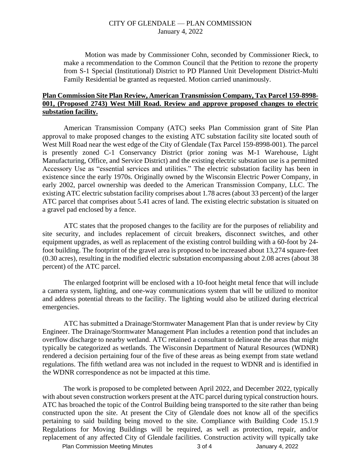Motion was made by Commissioner Cohn, seconded by Commissioner Rieck, to make a recommendation to the Common Council that the Petition to rezone the property from S-1 Special (Institutional) District to PD Planned Unit Development District-Multi Family Residential be granted as requested. Motion carried unanimously.

## **Plan Commission Site Plan Review, American Transmission Company, Tax Parcel 159-8998- 001, (Proposed 2743) West Mill Road. Review and approve proposed changes to electric substation facility.**

American Transmission Company (ATC) seeks Plan Commission grant of Site Plan approval to make proposed changes to the existing ATC substation facility site located south of West Mill Road near the west edge of the City of Glendale (Tax Parcel 159-8998-001). The parcel is presently zoned C-1 Conservancy District (prior zoning was M-1 Warehouse, Light Manufacturing, Office, and Service District) and the existing electric substation use is a permitted Accessory Use as "essential services and utilities." The electric substation facility has been in existence since the early 1970s. Originally owned by the Wisconsin Electric Power Company, in early 2002, parcel ownership was deeded to the American Transmission Company, LLC. The existing ATC electric substation facility comprises about 1.78 acres (about 33 percent) of the larger ATC parcel that comprises about 5.41 acres of land. The existing electric substation is situated on a gravel pad enclosed by a fence.

ATC states that the proposed changes to the facility are for the purposes of reliability and site security, and includes replacement of circuit breakers, disconnect switches, and other equipment upgrades, as well as replacement of the existing control building with a 60-foot by 24 foot building. The footprint of the gravel area is proposed to be increased about 13,274 square-feet (0.30 acres), resulting in the modified electric substation encompassing about 2.08 acres (about 38 percent) of the ATC parcel.

The enlarged footprint will be enclosed with a 10-foot height metal fence that will include a camera system, lighting, and one-way communications system that will be utilized to monitor and address potential threats to the facility. The lighting would also be utilized during electrical emergencies.

ATC has submitted a Drainage/Stormwater Management Plan that is under review by City Engineer. The Drainage/Stormwater Management Plan includes a retention pond that includes an overflow discharge to nearby wetland. ATC retained a consultant to delineate the areas that might typically be categorized as wetlands. The Wisconsin Department of Natural Resources (WDNR) rendered a decision pertaining four of the five of these areas as being exempt from state wetland regulations. The fifth wetland area was not included in the request to WDNR and is identified in the WDNR correspondence as not be impacted at this time.

The work is proposed to be completed between April 2022, and December 2022, typically with about seven construction workers present at the ATC parcel during typical construction hours. ATC has broached the topic of the Control Building being transported to the site rather than being constructed upon the site. At present the City of Glendale does not know all of the specifics pertaining to said building being moved to the site. Compliance with Building Code 15.1.9 Regulations for Moving Buildings will be required, as well as protection, repair, and/or replacement of any affected City of Glendale facilities. Construction activity will typically take

Plan Commission Meeting Minutes 3 of 4 January 4, 2022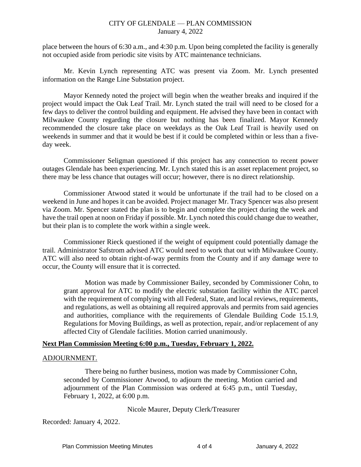place between the hours of 6:30 a.m., and 4:30 p.m. Upon being completed the facility is generally not occupied aside from periodic site visits by ATC maintenance technicians.

Mr. Kevin Lynch representing ATC was present via Zoom. Mr. Lynch presented information on the Range Line Substation project.

Mayor Kennedy noted the project will begin when the weather breaks and inquired if the project would impact the Oak Leaf Trail. Mr. Lynch stated the trail will need to be closed for a few days to deliver the control building and equipment. He advised they have been in contact with Milwaukee County regarding the closure but nothing has been finalized. Mayor Kennedy recommended the closure take place on weekdays as the Oak Leaf Trail is heavily used on weekends in summer and that it would be best if it could be completed within or less than a fiveday week.

Commissioner Seligman questioned if this project has any connection to recent power outages Glendale has been experiencing. Mr. Lynch stated this is an asset replacement project, so there may be less chance that outages will occur; however, there is no direct relationship.

Commissioner Atwood stated it would be unfortunate if the trail had to be closed on a weekend in June and hopes it can be avoided. Project manager Mr. Tracy Spencer was also present via Zoom. Mr. Spencer stated the plan is to begin and complete the project during the week and have the trail open at noon on Friday if possible. Mr. Lynch noted this could change due to weather, but their plan is to complete the work within a single week.

Commissioner Rieck questioned if the weight of equipment could potentially damage the trail. Administrator Safstrom advised ATC would need to work that out with Milwaukee County. ATC will also need to obtain right-of-way permits from the County and if any damage were to occur, the County will ensure that it is corrected.

Motion was made by Commissioner Bailey, seconded by Commissioner Cohn, to grant approval for ATC to modify the electric substation facility within the ATC parcel with the requirement of complying with all Federal, State, and local reviews, requirements, and regulations, as well as obtaining all required approvals and permits from said agencies and authorities, compliance with the requirements of Glendale Building Code 15.1.9, Regulations for Moving Buildings, as well as protection, repair, and/or replacement of any affected City of Glendale facilities. Motion carried unanimously.

# **Next Plan Commission Meeting 6:00 p.m., Tuesday, February 1, 2022.**

#### ADJOURNMENT.

There being no further business, motion was made by Commissioner Cohn, seconded by Commissioner Atwood, to adjourn the meeting. Motion carried and adjournment of the Plan Commission was ordered at 6:45 p.m., until Tuesday, February 1, 2022, at 6:00 p.m.

Nicole Maurer, Deputy Clerk/Treasurer

Recorded: January 4, 2022.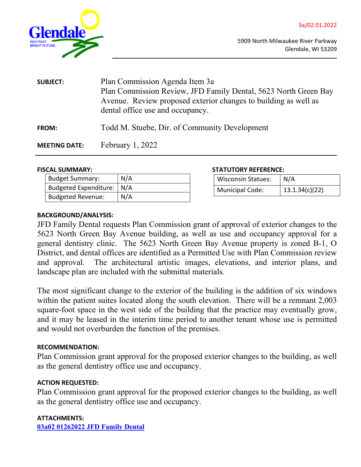<span id="page-5-0"></span>

| <b>SUBJECT:</b>      | Plan Commission Agenda Item 3a<br>Plan Commission Review, JFD Family Dental, 5623 North Green Bay<br>Avenue. Review proposed exterior changes to building as well as<br>dental office use and occupancy. |  |
|----------------------|----------------------------------------------------------------------------------------------------------------------------------------------------------------------------------------------------------|--|
| <b>FROM:</b>         | Todd M. Stuebe, Dir. of Community Development                                                                                                                                                            |  |
| <b>MEETING DATE:</b> | February $1,2022$                                                                                                                                                                                        |  |

#### **FISCAL SUMMARY:**

| <b>Budget Summary:</b>      | N/A |
|-----------------------------|-----|
| Budgeted Expenditure:   N/A |     |
| <b>Budgeted Revenue:</b>    | N/A |

|  | <b>STATUTORY REFERENCE:</b> |
|--|-----------------------------|
|--|-----------------------------|

| <b>Wisconsin Statues:</b> | $\mid N/A$     |
|---------------------------|----------------|
| Municipal Code:           | 13.1.34(c)(22) |

## **BACKGROUND/ANALYSIS:**

JFD Family Dental requests Plan Commission grant of approval of exterior changes to the 5623 North Green Bay Avenue building, as well as use and occupancy approval for a general dentistry clinic. The 5623 North Green Bay Avenue property is zoned B-1, O District, and dental offices are identified as a Permitted Use with Plan Commission review and approval. The architectural artistic images, elevations, and interior plans, and landscape plan are included with the submittal materials.

The most significant change to the exterior of the building is the addition of six windows within the patient suites located along the south elevation. There will be a remnant 2,003 square-foot space in the west side of the building that the practice may eventually grow, and it may be leased in the interim time period to another tenant whose use is permitted and would not overburden the function of the premises.

#### **RECOMMENDATION:**

Plan Commission grant approval for the proposed exterior changes to the building, as well as the general dentistry office use and occupancy.

## **ACTION REQUESTED:**

Plan Commission grant approval for the proposed exterior changes to the building, as well as the general dentistry office use and occupancy.

#### **ATTACHMENTS:**

**[03a02 01262022 JFD Family Dental](https://www.glendale-wi.org/DocumentCenter/View/2385/3a02-01262022-JFD-Family-Dental)**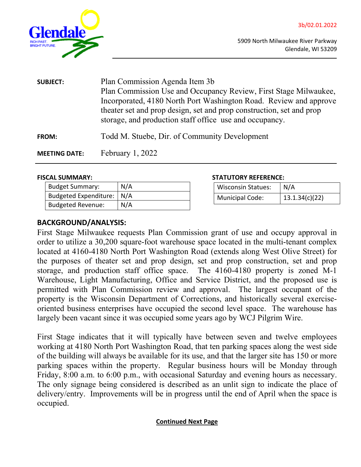<span id="page-6-0"></span>

| <b>SUBJECT:</b>      | Plan Commission Agenda Item 3b                                       |  |
|----------------------|----------------------------------------------------------------------|--|
|                      | Plan Commission Use and Occupancy Review, First Stage Milwaukee,     |  |
|                      | Incorporated, 4180 North Port Washington Road. Review and approve    |  |
|                      | theater set and prop design, set and prop construction, set and prop |  |
|                      | storage, and production staff office use and occupancy.              |  |
| <b>FROM:</b>         | Todd M. Stuebe, Dir. of Community Development                        |  |
| <b>MEETING DATE:</b> | February $1,2022$                                                    |  |

| <b>Budget Summary:</b>       | N/A |
|------------------------------|-----|
| <b>Budgeted Expenditure:</b> | N/A |
| <b>Budgeted Revenue:</b>     | N/A |

#### **FISCAL SUMMARY: STATUTORY REFERENCE:**

| <b>Wisconsin Statues:</b> | N/A            |
|---------------------------|----------------|
| <b>Municipal Code:</b>    | 13.1.34(c)(22) |

# **BACKGROUND/ANALYSIS:**

First Stage Milwaukee requests Plan Commission grant of use and occupy approval in order to utilize a 30,200 square-foot warehouse space located in the multi-tenant complex located at 4160-4180 North Port Washington Road (extends along West Olive Street) for the purposes of theater set and prop design, set and prop construction, set and prop storage, and production staff office space. The 4160-4180 property is zoned M-1 Warehouse, Light Manufacturing, Office and Service District, and the proposed use is permitted with Plan Commission review and approval. The largest occupant of the property is the Wisconsin Department of Corrections, and historically several exerciseoriented business enterprises have occupied the second level space. The warehouse has largely been vacant since it was occupied some years ago by WCJ Pilgrim Wire.

First Stage indicates that it will typically have between seven and twelve employees working at 4180 North Port Washington Road, that ten parking spaces along the west side of the building will always be available for its use, and that the larger site has 150 or more parking spaces within the property. Regular business hours will be Monday through Friday, 8:00 a.m. to 6:00 p.m., with occasional Saturday and evening hours as necessary. The only signage being considered is described as an unlit sign to indicate the place of delivery/entry. Improvements will be in progress until the end of April when the space is occupied.

# **Continued Next Page**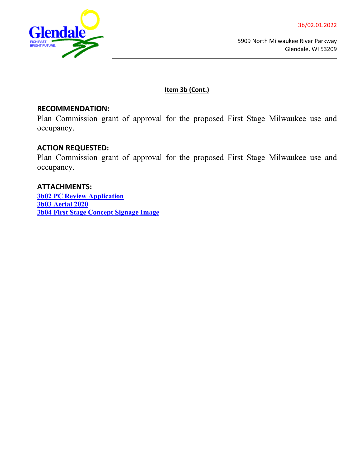

5909 North Milwaukee River Parkway Glendale, WI 53209

**Item 3b (Cont.)**

# **RECOMMENDATION:**

Plan Commission grant of approval for the proposed First Stage Milwaukee use and occupancy.

# **ACTION REQUESTED:**

Plan Commission grant of approval for the proposed First Stage Milwaukee use and occupancy.

**ATTACHMENTS: [3b02 PC Review Application](https://www.glendale-wi.org/DocumentCenter/View/2388/3b02-01132022-PC-Review-Application) [3b03 Aerial 2020](https://www.glendale-wi.org/DocumentCenter/View/2386/3b03-Aerial-2020) [3b04 First Stage Concept Signage Image](https://www.glendale-wi.org/DocumentCenter/View/2387/3b04-01132022-First-Stage-Image)**